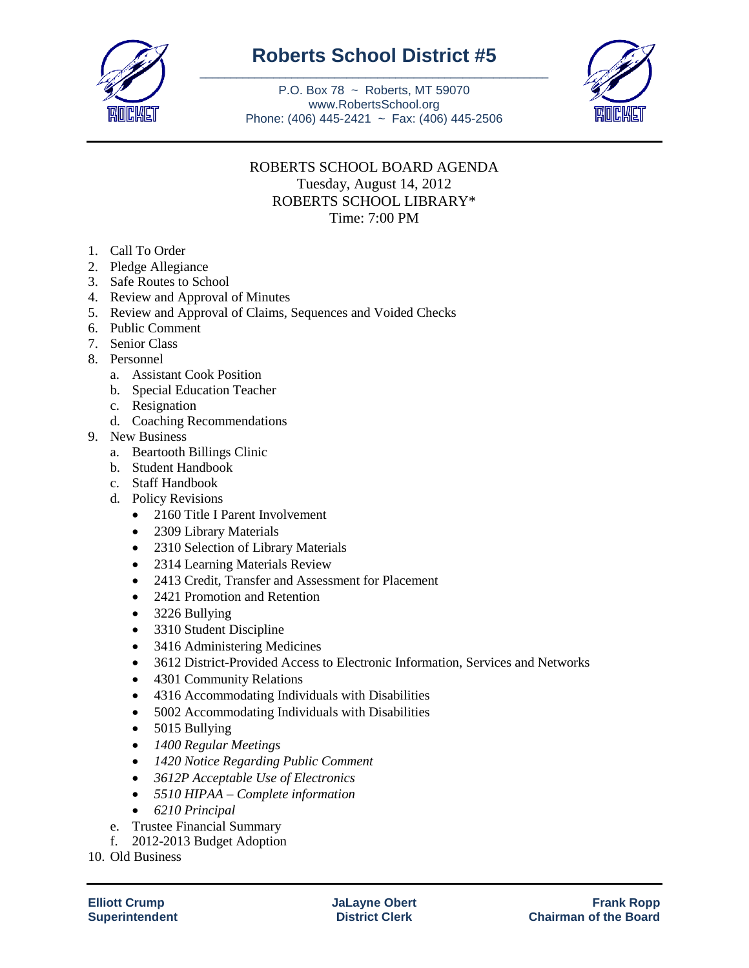

## **Roberts School District #5** \_\_\_\_\_\_\_\_\_\_\_\_\_\_\_\_\_\_\_\_\_\_\_\_\_\_\_\_\_\_\_\_\_\_\_\_\_\_\_\_\_\_\_\_\_\_\_\_\_\_\_\_\_\_\_\_\_

P.O. Box 78 ~ Roberts, MT 59070 www.RobertsSchool.org Phone: (406) 445-2421 ~ Fax: (406) 445-2506



## ROBERTS SCHOOL BOARD AGENDA Tuesday, August 14, 2012 ROBERTS SCHOOL LIBRARY\* Time: 7:00 PM

- 1. Call To Order
- 2. Pledge Allegiance
- 3. Safe Routes to School
- 4. Review and Approval of Minutes
- 5. Review and Approval of Claims, Sequences and Voided Checks
- 6. Public Comment
- 7. Senior Class
- 8. Personnel
	- a. Assistant Cook Position
	- b. Special Education Teacher
	- c. Resignation
	- d. Coaching Recommendations
- 9. New Business
	- a. Beartooth Billings Clinic
	- b. Student Handbook
	- c. Staff Handbook
	- d. Policy Revisions
		- 2160 Title I Parent Involvement
		- 2309 Library Materials
		- 2310 Selection of Library Materials
		- 2314 Learning Materials Review
		- 2413 Credit, Transfer and Assessment for Placement
		- 2421 Promotion and Retention
		- 3226 Bullying
		- 3310 Student Discipline
		- 3416 Administering Medicines
		- 3612 District-Provided Access to Electronic Information, Services and Networks
		- 4301 Community Relations
		- 4316 Accommodating Individuals with Disabilities
		- 5002 Accommodating Individuals with Disabilities
		- $\bullet$  5015 Bullying
		- *1400 Regular Meetings*
		- *1420 Notice Regarding Public Comment*
		- *3612P Acceptable Use of Electronics*
		- *5510 HIPAA – Complete information*
		- *6210 Principal*
	- e. Trustee Financial Summary
	- f. 2012-2013 Budget Adoption

10. Old Business